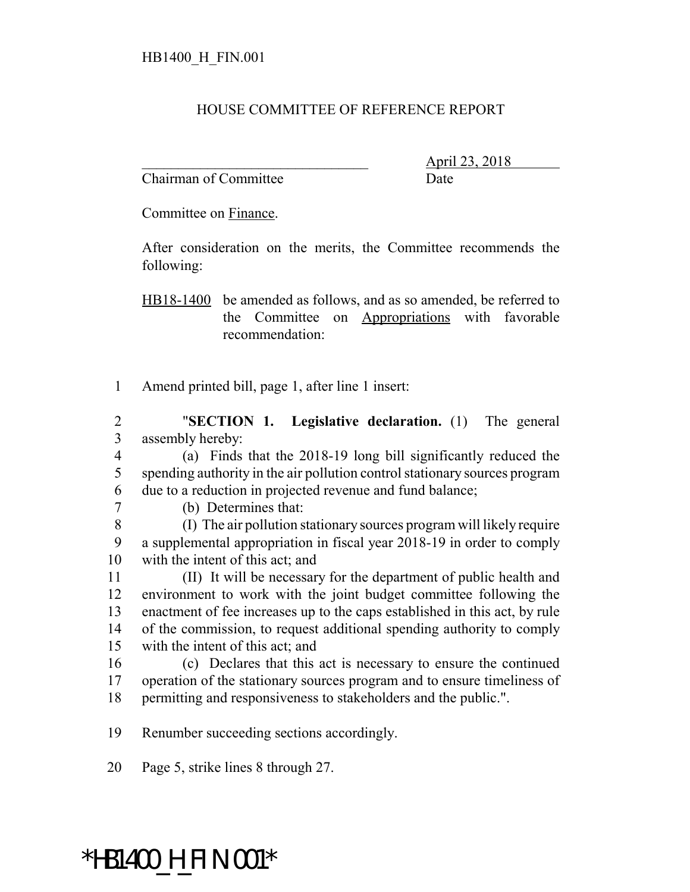## HOUSE COMMITTEE OF REFERENCE REPORT

Chairman of Committee Date

\_\_\_\_\_\_\_\_\_\_\_\_\_\_\_\_\_\_\_\_\_\_\_\_\_\_\_\_\_\_\_ April 23, 2018

Committee on Finance.

After consideration on the merits, the Committee recommends the following:

HB18-1400 be amended as follows, and as so amended, be referred to the Committee on Appropriations with favorable recommendation:

Amend printed bill, page 1, after line 1 insert:

 "**SECTION 1. Legislative declaration.** (1) The general assembly hereby:

 (a) Finds that the 2018-19 long bill significantly reduced the spending authority in the air pollution control stationary sources program due to a reduction in projected revenue and fund balance;

(b) Determines that:

 (I) The air pollution stationary sources program will likely require a supplemental appropriation in fiscal year 2018-19 in order to comply with the intent of this act; and

 (II) It will be necessary for the department of public health and environment to work with the joint budget committee following the enactment of fee increases up to the caps established in this act, by rule of the commission, to request additional spending authority to comply with the intent of this act; and

 (c) Declares that this act is necessary to ensure the continued operation of the stationary sources program and to ensure timeliness of permitting and responsiveness to stakeholders and the public.".

Renumber succeeding sections accordingly.

Page 5, strike lines 8 through 27.

## \*HB1400\_H\_FIN.001\*